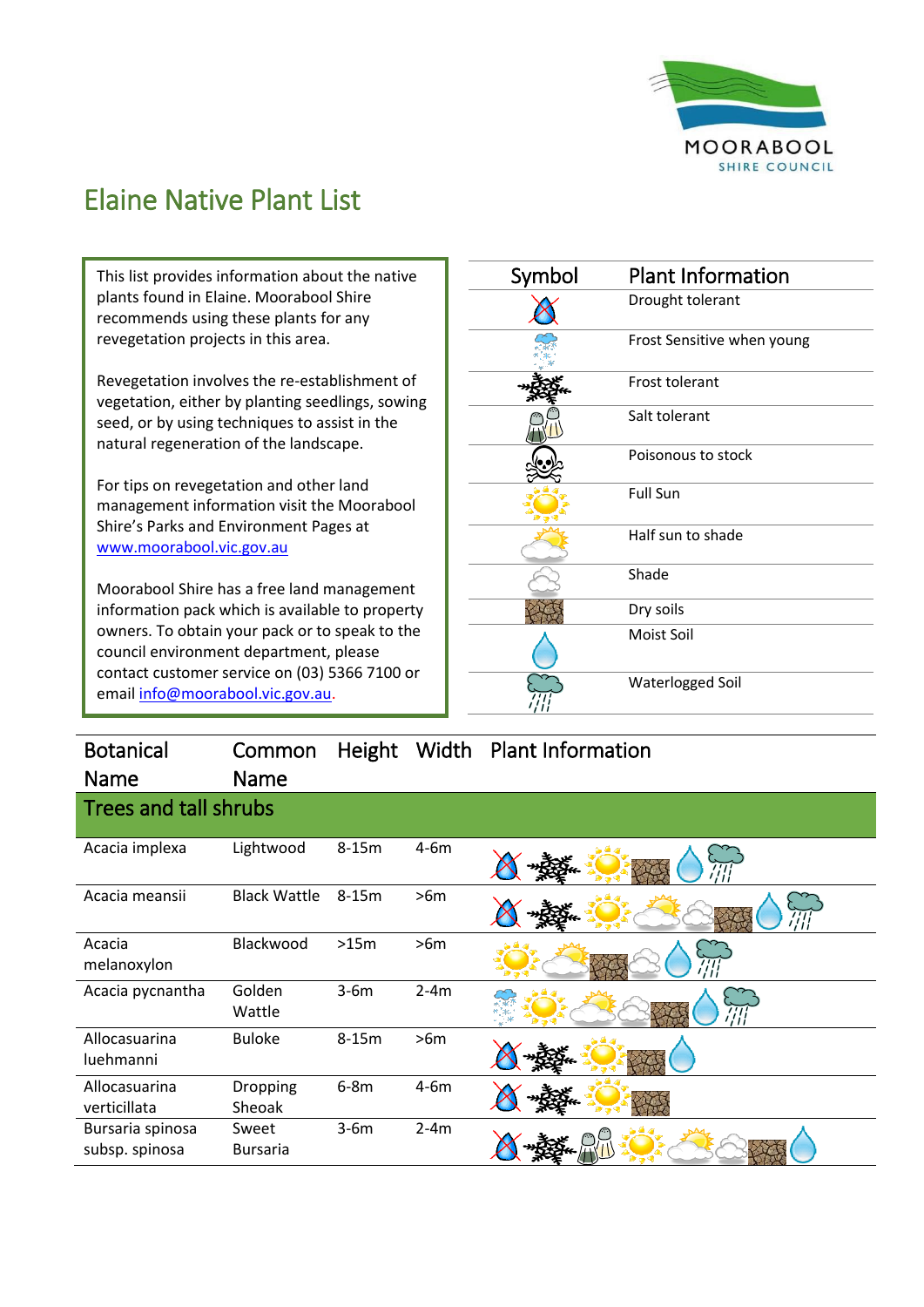

## Elaine Native Plant List

This list provides information about the native plants found in Elaine. Moorabool Shire recommends using these plants for any revegetation projects in this area.

Revegetation involves the re-establishment of vegetation, either by planting seedlings, sowing seed, or by using techniques to assist in the natural regeneration of the landscape.

For tips on revegetation and other land management information visit the Moorabool Shire's Parks and Environment Pages at [www.moorabool.vic.gov.au](http://www.moorabool.vic.gov.au/)

Moorabool Shire has a free land management information pack which is available to property owners. To obtain your pack or to speak to the council environment department, please contact customer service on (03) 5366 7100 or emai[l info@moorabool.vic.gov.au.](mailto:info@moorabool.vic.gov.au)

| Symbol | <b>Plant Information</b>   |
|--------|----------------------------|
|        | Drought tolerant           |
|        | Frost Sensitive when young |
|        | Frost tolerant             |
|        | Salt tolerant              |
|        | Poisonous to stock         |
|        | <b>Full Sun</b>            |
|        | Half sun to shade          |
|        | Shade                      |
|        | Dry soils                  |
|        | Moist Soil                 |
|        | Waterlogged Soil           |

| <b>Botanical</b>                   | Common                   | Height  | Width  | <b>Plant Information</b> |  |
|------------------------------------|--------------------------|---------|--------|--------------------------|--|
| <b>Name</b>                        | <b>Name</b>              |         |        |                          |  |
| <b>Trees and tall shrubs</b>       |                          |         |        |                          |  |
| Acacia implexa                     | Lightwood                | $8-15m$ | $4-6m$ | T                        |  |
| Acacia meansii                     | <b>Black Wattle</b>      | $8-15m$ | >6m    |                          |  |
| Acacia<br>melanoxylon              | Blackwood                | >15m    | >6m    |                          |  |
| Acacia pycnantha                   | Golden<br>Wattle         | $3-6m$  | $2-4m$ | 77                       |  |
| Allocasuarina<br>luehmanni         | <b>Buloke</b>            | $8-15m$ | >6m    |                          |  |
| Allocasuarina<br>verticillata      | Dropping<br>Sheoak       | $6-8m$  | $4-6m$ |                          |  |
| Bursaria spinosa<br>subsp. spinosa | Sweet<br><b>Bursaria</b> | $3-6m$  | $2-4m$ |                          |  |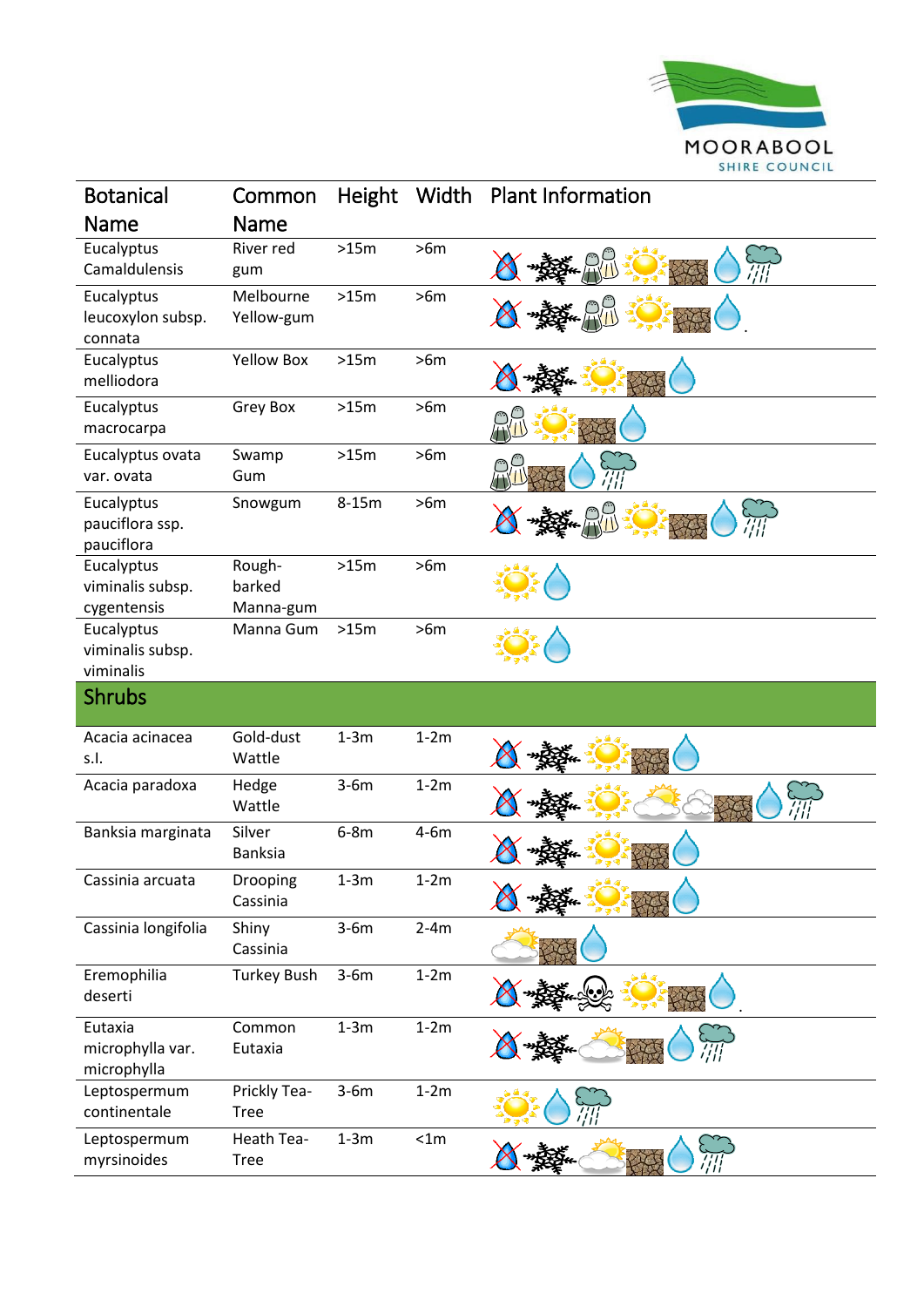

| <b>Botanical</b>                              | Common                        | Height  | Width  | <b>Plant Information</b> |
|-----------------------------------------------|-------------------------------|---------|--------|--------------------------|
| <b>Name</b>                                   | <b>Name</b>                   |         |        |                          |
| Eucalyptus<br>Camaldulensis                   | River red<br>gum              | >15m    | >6m    |                          |
| Eucalyptus<br>leucoxylon subsp.<br>connata    | Melbourne<br>Yellow-gum       | >15m    | >6m    |                          |
| Eucalyptus<br>melliodora                      | <b>Yellow Box</b>             | >15m    | >6m    |                          |
| Eucalyptus<br>macrocarpa                      | Grey Box                      | >15m    | >6m    |                          |
| Eucalyptus ovata<br>var. ovata                | Swamp<br>Gum                  | >15m    | >6m    |                          |
| Eucalyptus<br>pauciflora ssp.<br>pauciflora   | Snowgum                       | $8-15m$ | >6m    |                          |
| Eucalyptus<br>viminalis subsp.<br>cygentensis | Rough-<br>barked<br>Manna-gum | >15m    | >6m    |                          |
| Eucalyptus<br>viminalis subsp.<br>viminalis   | Manna Gum                     | >15m    | >6m    |                          |
| <b>Shrubs</b>                                 |                               |         |        |                          |
|                                               |                               |         |        |                          |
| Acacia acinacea<br>s.l.                       | Gold-dust<br>Wattle           | $1-3m$  | $1-2m$ |                          |
| Acacia paradoxa                               | Hedge<br>Wattle               | $3-6m$  | $1-2m$ |                          |
| Banksia marginata                             | Silver<br><b>Banksia</b>      | $6-8m$  | $4-6m$ |                          |
| Cassinia arcuata                              | Drooping<br>Cassinia          | $1-3m$  | $1-2m$ |                          |
| Cassinia longifolia                           | Shiny<br>Cassinia             | $3-6m$  | $2-4m$ |                          |
| Eremophilia<br>deserti                        | <b>Turkey Bush</b>            | $3-6m$  | $1-2m$ |                          |
| Eutaxia<br>microphylla var.<br>microphylla    | Common<br>Eutaxia             | $1-3m$  | $1-2m$ |                          |
| Leptospermum<br>continentale                  | Prickly Tea-<br><b>Tree</b>   | $3-6m$  | $1-2m$ |                          |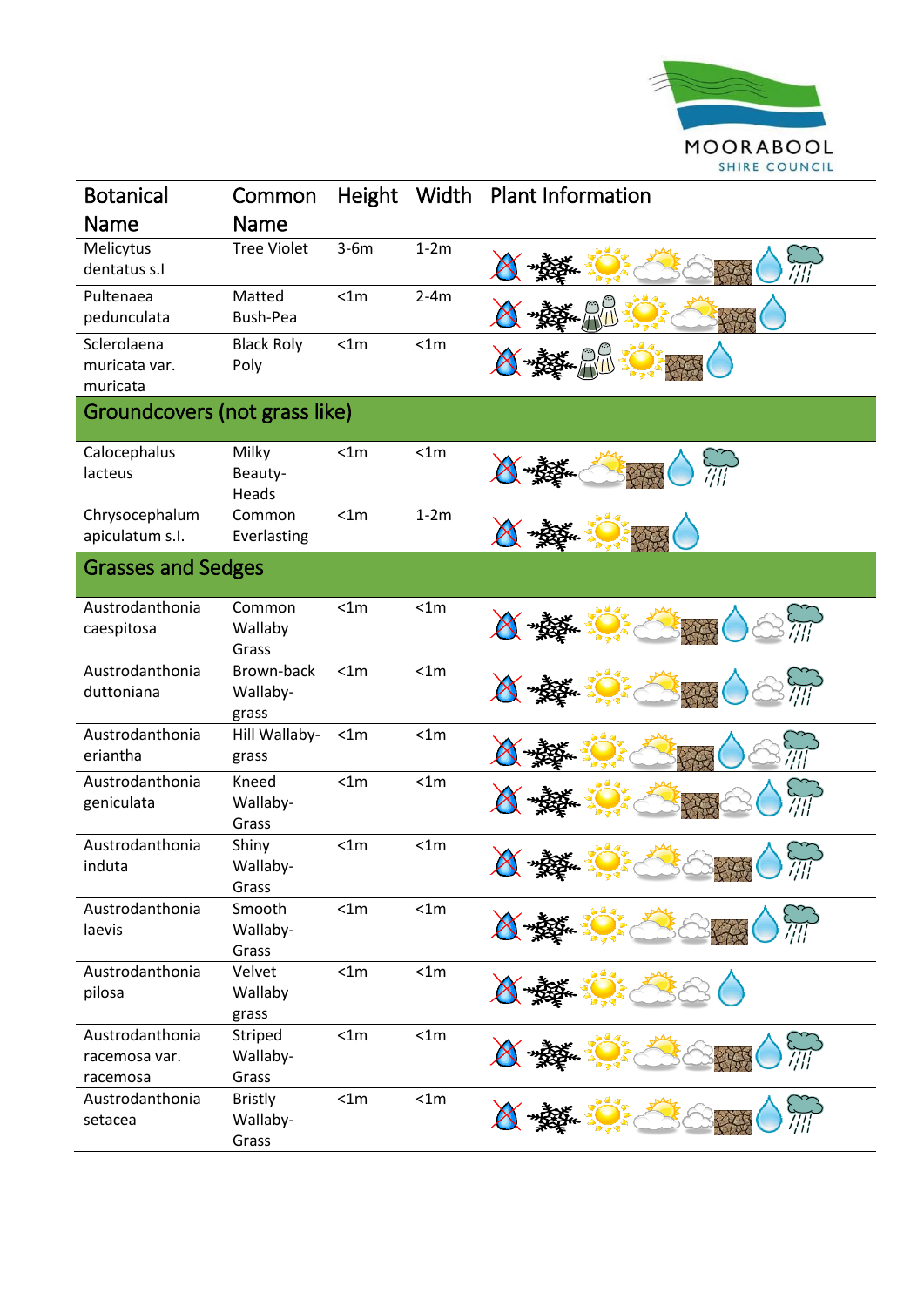

| <b>Botanical</b>                             | Common                              | Height | Width  | <b>Plant Information</b> |
|----------------------------------------------|-------------------------------------|--------|--------|--------------------------|
| Name                                         | Name                                |        |        |                          |
| Melicytus<br>dentatus s.l                    | <b>Tree Violet</b>                  | $3-6m$ | $1-2m$ |                          |
| Pultenaea<br>pedunculata                     | Matted<br>Bush-Pea                  | < 1m   | $2-4m$ |                          |
| Sclerolaena<br>muricata var.<br>muricata     | <b>Black Roly</b><br>Poly           | < 1m   | < 1m   |                          |
| Groundcovers (not grass like)                |                                     |        |        |                          |
| Calocephalus<br>lacteus                      | Milky<br>Beauty-<br>Heads           | < 1m   | < 1m   |                          |
| Chrysocephalum<br>apiculatum s.l.            | Common<br>Everlasting               | < 1m   | $1-2m$ |                          |
| <b>Grasses and Sedges</b>                    |                                     |        |        |                          |
| Austrodanthonia<br>caespitosa                | Common<br>Wallaby<br>Grass          | < 1m   | < 1m   |                          |
| Austrodanthonia<br>duttoniana                | Brown-back<br>Wallaby-<br>grass     | < 1m   | < 1m   |                          |
| Austrodanthonia<br>eriantha                  | Hill Wallaby-<br>grass              | < 1m   | < 1m   |                          |
| Austrodanthonia<br>geniculata                | Kneed<br>Wallaby-<br>Grass          | < 1m   | < 1m   |                          |
| Austrodanthonia<br>induta                    | Shiny<br>Wallaby-<br>Grass          | < 1m   | < 1m   |                          |
| Austrodanthonia<br>laevis                    | Smooth<br>Wallaby-<br>Grass         | < 1m   | < 1m   |                          |
| Austrodanthonia<br>pilosa                    | Velvet<br>Wallaby<br>grass          | < 1m   | < 1m   |                          |
| Austrodanthonia<br>racemosa var.<br>racemosa | Striped<br>Wallaby-<br>Grass        | < 1m   | < 1m   |                          |
| Austrodanthonia<br>setacea                   | <b>Bristly</b><br>Wallaby-<br>Grass | < 1m   | < 1m   |                          |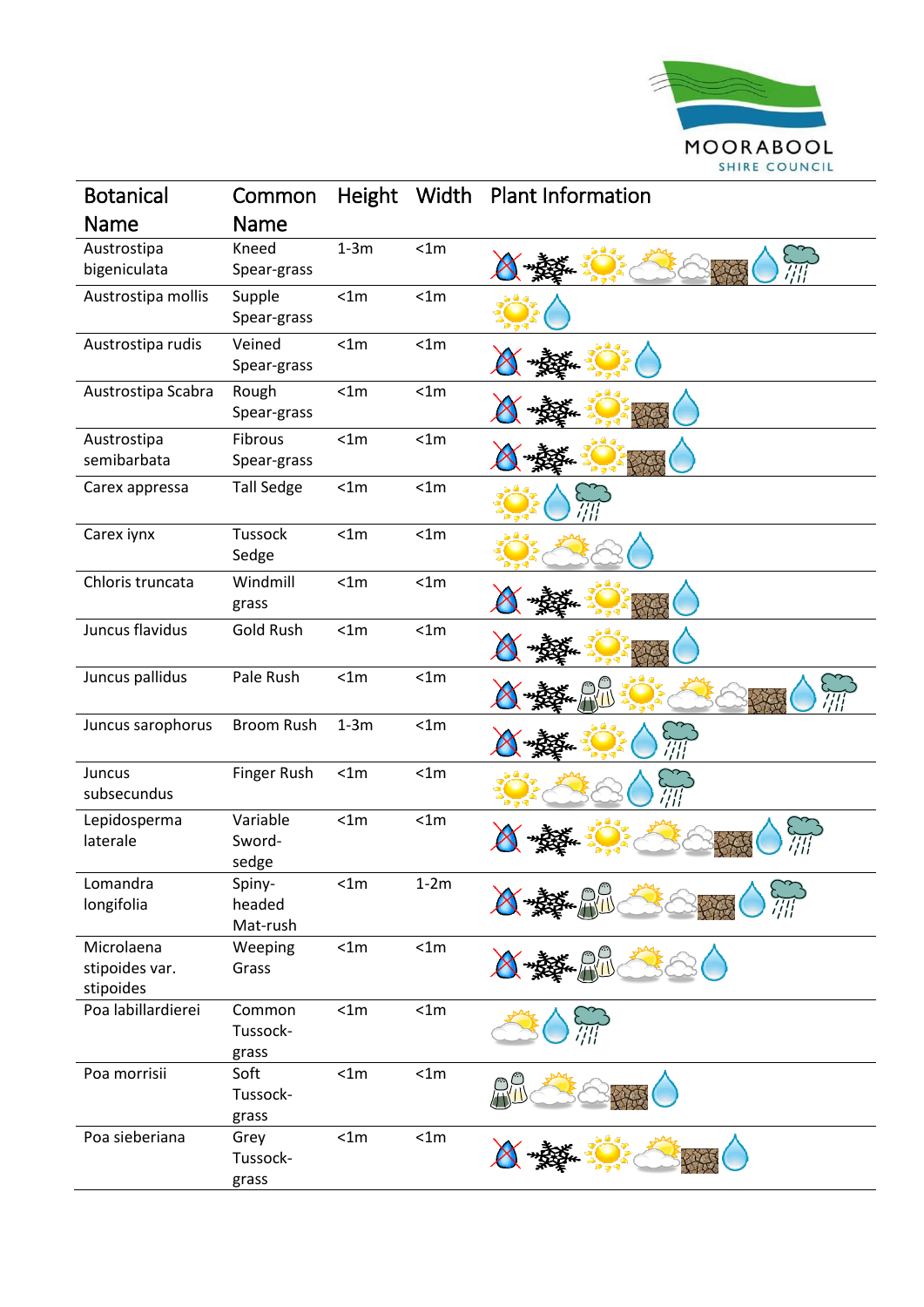

| <b>Botanical</b>                          | Common                       | Height | Width  | <b>Plant Information</b> |
|-------------------------------------------|------------------------------|--------|--------|--------------------------|
| Name                                      | Name                         |        |        |                          |
| Austrostipa<br>bigeniculata               | Kneed<br>Spear-grass         | $1-3m$ | < 1m   |                          |
| Austrostipa mollis                        | Supple<br>Spear-grass        | < 1m   | < 1m   |                          |
| Austrostipa rudis                         | Veined<br>Spear-grass        | < 1m   | < 1m   |                          |
| Austrostipa Scabra                        | Rough<br>Spear-grass         | < 1m   | < 1m   |                          |
| Austrostipa<br>semibarbata                | Fibrous<br>Spear-grass       | < 1m   | < 1m   |                          |
| Carex appressa                            | <b>Tall Sedge</b>            | < 1m   | < 1m   |                          |
| Carex iynx                                | <b>Tussock</b><br>Sedge      | < 1m   | < 1m   |                          |
| Chloris truncata                          | Windmill<br>grass            | < 1m   | < 1m   |                          |
| Juncus flavidus                           | <b>Gold Rush</b>             | < 1m   | < 1m   |                          |
| Juncus pallidus                           | Pale Rush                    | < 1m   | < 1m   |                          |
| Juncus sarophorus                         | <b>Broom Rush</b>            | $1-3m$ | < 1m   |                          |
| Juncus<br>subsecundus                     | Finger Rush                  | < 1m   | < 1m   |                          |
| Lepidosperma<br>laterale                  | Variable<br>Sword-<br>sedge  | < 1m   | < 1m   |                          |
| Lomandra<br>longifolia                    | Spiny-<br>headed<br>Mat-rush | < 1m   | $1-2m$ |                          |
| Microlaena<br>stipoides var.<br>stipoides | Weeping<br>Grass             | < 1m   | < 1m   |                          |
| Poa labillardierei                        | Common<br>Tussock-<br>grass  | < 1m   | < 1m   |                          |
| Poa morrisii                              | Soft<br>Tussock-<br>grass    | < 1m   | < 1m   |                          |
| Poa sieberiana                            | Grey<br>Tussock-<br>grass    | < 1m   | < 1m   |                          |